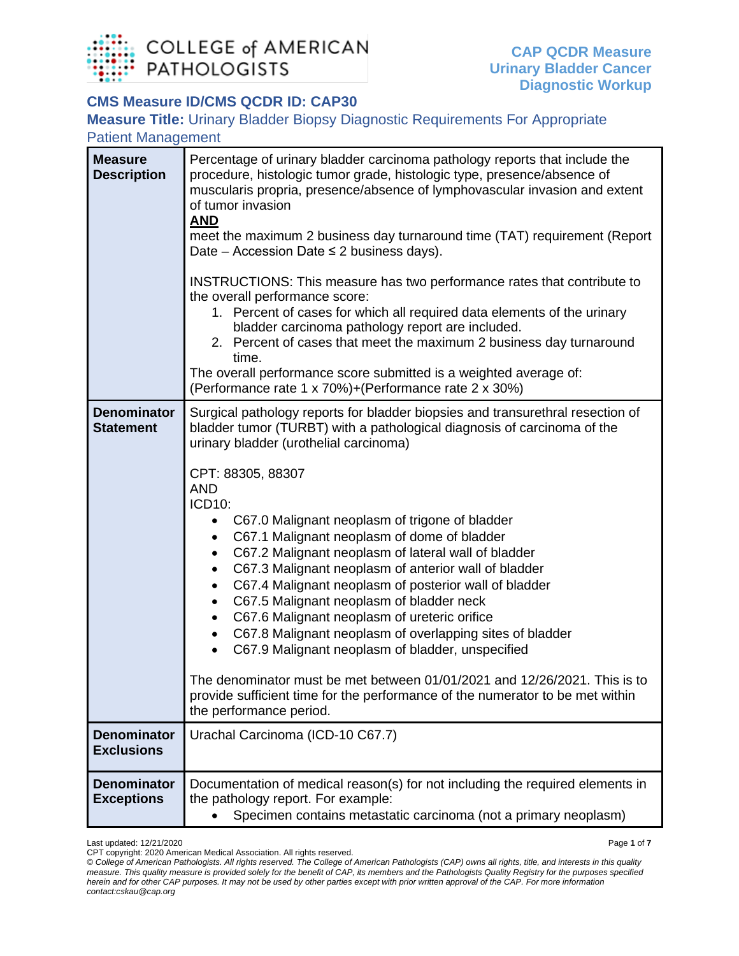

## **CMS Measure ID/CMS QCDR ID: CAP30**

**Measure Title:** Urinary Bladder Biopsy Diagnostic Requirements For Appropriate Patient Management

| <b>Measure</b><br><b>Description</b>    | Percentage of urinary bladder carcinoma pathology reports that include the<br>procedure, histologic tumor grade, histologic type, presence/absence of<br>muscularis propria, presence/absence of lymphovascular invasion and extent<br>of tumor invasion<br><b>AND</b><br>meet the maximum 2 business day turnaround time (TAT) requirement (Report<br>Date – Accession Date $\leq$ 2 business days).<br>INSTRUCTIONS: This measure has two performance rates that contribute to<br>the overall performance score:<br>1. Percent of cases for which all required data elements of the urinary<br>bladder carcinoma pathology report are included.<br>2. Percent of cases that meet the maximum 2 business day turnaround<br>time.<br>The overall performance score submitted is a weighted average of:                                                                                                                                                                                                                         |
|-----------------------------------------|--------------------------------------------------------------------------------------------------------------------------------------------------------------------------------------------------------------------------------------------------------------------------------------------------------------------------------------------------------------------------------------------------------------------------------------------------------------------------------------------------------------------------------------------------------------------------------------------------------------------------------------------------------------------------------------------------------------------------------------------------------------------------------------------------------------------------------------------------------------------------------------------------------------------------------------------------------------------------------------------------------------------------------|
|                                         | (Performance rate 1 x 70%)+(Performance rate 2 x 30%)                                                                                                                                                                                                                                                                                                                                                                                                                                                                                                                                                                                                                                                                                                                                                                                                                                                                                                                                                                          |
| <b>Denominator</b><br><b>Statement</b>  | Surgical pathology reports for bladder biopsies and transurethral resection of<br>bladder tumor (TURBT) with a pathological diagnosis of carcinoma of the<br>urinary bladder (urothelial carcinoma)<br>CPT: 88305, 88307<br><b>AND</b><br>ICD10:<br>C67.0 Malignant neoplasm of trigone of bladder<br>$\bullet$<br>C67.1 Malignant neoplasm of dome of bladder<br>٠<br>C67.2 Malignant neoplasm of lateral wall of bladder<br>$\bullet$<br>C67.3 Malignant neoplasm of anterior wall of bladder<br>$\bullet$<br>C67.4 Malignant neoplasm of posterior wall of bladder<br>$\bullet$<br>C67.5 Malignant neoplasm of bladder neck<br>$\bullet$<br>C67.6 Malignant neoplasm of ureteric orifice<br>$\bullet$<br>C67.8 Malignant neoplasm of overlapping sites of bladder<br>$\bullet$<br>C67.9 Malignant neoplasm of bladder, unspecified<br>The denominator must be met between 01/01/2021 and 12/26/2021. This is to<br>provide sufficient time for the performance of the numerator to be met within<br>the performance period. |
| <b>Denominator</b><br><b>Exclusions</b> | Urachal Carcinoma (ICD-10 C67.7)                                                                                                                                                                                                                                                                                                                                                                                                                                                                                                                                                                                                                                                                                                                                                                                                                                                                                                                                                                                               |
| <b>Denominator</b><br><b>Exceptions</b> | Documentation of medical reason(s) for not including the required elements in<br>the pathology report. For example:<br>Specimen contains metastatic carcinoma (not a primary neoplasm)                                                                                                                                                                                                                                                                                                                                                                                                                                                                                                                                                                                                                                                                                                                                                                                                                                         |

Last updated: 12/21/2020 Page **1** of **7** CPT copyright: 2020 American Medical Association. All rights reserved.

*<sup>©</sup> College of American Pathologists. All rights reserved. The College of American Pathologists (CAP) owns all rights, title, and interests in this quality measure. This quality measure is provided solely for the benefit of CAP, its members and the Pathologists Quality Registry for the purposes specified herein and for other CAP purposes. It may not be used by other parties except with prior written approval of the CAP. For more information contact:cskau@cap.org*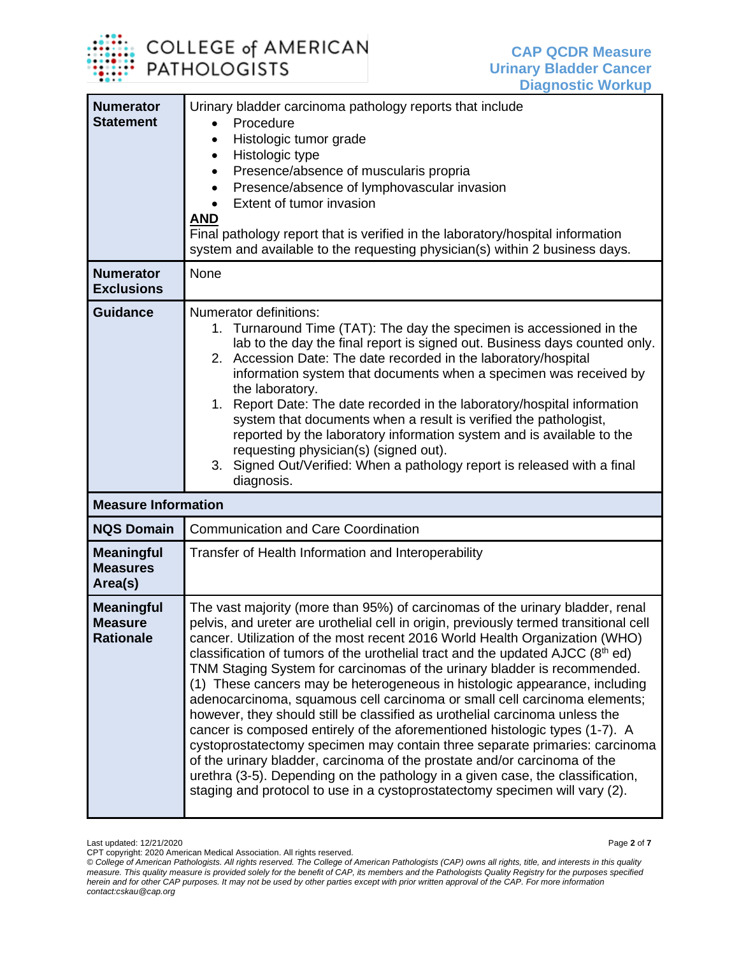

| <b>Numerator</b><br><b>Statement</b>                    | Urinary bladder carcinoma pathology reports that include<br>Procedure<br>$\bullet$<br>Histologic tumor grade<br>$\bullet$<br>Histologic type<br>$\bullet$<br>Presence/absence of muscularis propria<br>$\bullet$<br>Presence/absence of lymphovascular invasion<br>$\bullet$<br>Extent of tumor invasion<br><u>AND</u><br>Final pathology report that is verified in the laboratory/hospital information<br>system and available to the requesting physician(s) within 2 business days.                                                                                                                                                                                                                                                                                                                                                                                                                                                                                                                                                                                        |
|---------------------------------------------------------|--------------------------------------------------------------------------------------------------------------------------------------------------------------------------------------------------------------------------------------------------------------------------------------------------------------------------------------------------------------------------------------------------------------------------------------------------------------------------------------------------------------------------------------------------------------------------------------------------------------------------------------------------------------------------------------------------------------------------------------------------------------------------------------------------------------------------------------------------------------------------------------------------------------------------------------------------------------------------------------------------------------------------------------------------------------------------------|
| <b>Numerator</b><br><b>Exclusions</b>                   | None                                                                                                                                                                                                                                                                                                                                                                                                                                                                                                                                                                                                                                                                                                                                                                                                                                                                                                                                                                                                                                                                           |
| <b>Guidance</b>                                         | Numerator definitions:<br>1. Turnaround Time (TAT): The day the specimen is accessioned in the<br>lab to the day the final report is signed out. Business days counted only.<br>2. Accession Date: The date recorded in the laboratory/hospital<br>information system that documents when a specimen was received by<br>the laboratory.<br>Report Date: The date recorded in the laboratory/hospital information<br>1.<br>system that documents when a result is verified the pathologist,<br>reported by the laboratory information system and is available to the<br>requesting physician(s) (signed out).<br>3. Signed Out/Verified: When a pathology report is released with a final<br>diagnosis.                                                                                                                                                                                                                                                                                                                                                                         |
| <b>Measure Information</b>                              |                                                                                                                                                                                                                                                                                                                                                                                                                                                                                                                                                                                                                                                                                                                                                                                                                                                                                                                                                                                                                                                                                |
| <b>NQS Domain</b>                                       | <b>Communication and Care Coordination</b>                                                                                                                                                                                                                                                                                                                                                                                                                                                                                                                                                                                                                                                                                                                                                                                                                                                                                                                                                                                                                                     |
| <b>Meaningful</b><br><b>Measures</b><br>Area(s)         | Transfer of Health Information and Interoperability                                                                                                                                                                                                                                                                                                                                                                                                                                                                                                                                                                                                                                                                                                                                                                                                                                                                                                                                                                                                                            |
| <b>Meaningful</b><br><b>Measure</b><br><b>Rationale</b> | The vast majority (more than 95%) of carcinomas of the urinary bladder, renal<br>pelvis, and ureter are urothelial cell in origin, previously termed transitional cell<br>cancer. Utilization of the most recent 2016 World Health Organization (WHO)<br>classification of tumors of the urothelial tract and the updated $AJCC$ ( $8th$ ed)<br>TNM Staging System for carcinomas of the urinary bladder is recommended.<br>(1) These cancers may be heterogeneous in histologic appearance, including<br>adenocarcinoma, squamous cell carcinoma or small cell carcinoma elements;<br>however, they should still be classified as urothelial carcinoma unless the<br>cancer is composed entirely of the aforementioned histologic types (1-7). A<br>cystoprostatectomy specimen may contain three separate primaries: carcinoma<br>of the urinary bladder, carcinoma of the prostate and/or carcinoma of the<br>urethra (3-5). Depending on the pathology in a given case, the classification,<br>staging and protocol to use in a cystoprostatectomy specimen will vary (2). |

Last updated: 12/21/2020 Page **2** of **7** CPT copyright: 2020 American Medical Association. All rights reserved. *© College of American Pathologists. All rights reserved. The College of American Pathologists (CAP) owns all rights, title, and interests in this quality measure. This quality measure is provided solely for the benefit of CAP, its members and the Pathologists Quality Registry for the purposes specified herein and for other CAP purposes. It may not be used by other parties except with prior written approval of the CAP. For more information contact:cskau@cap.org*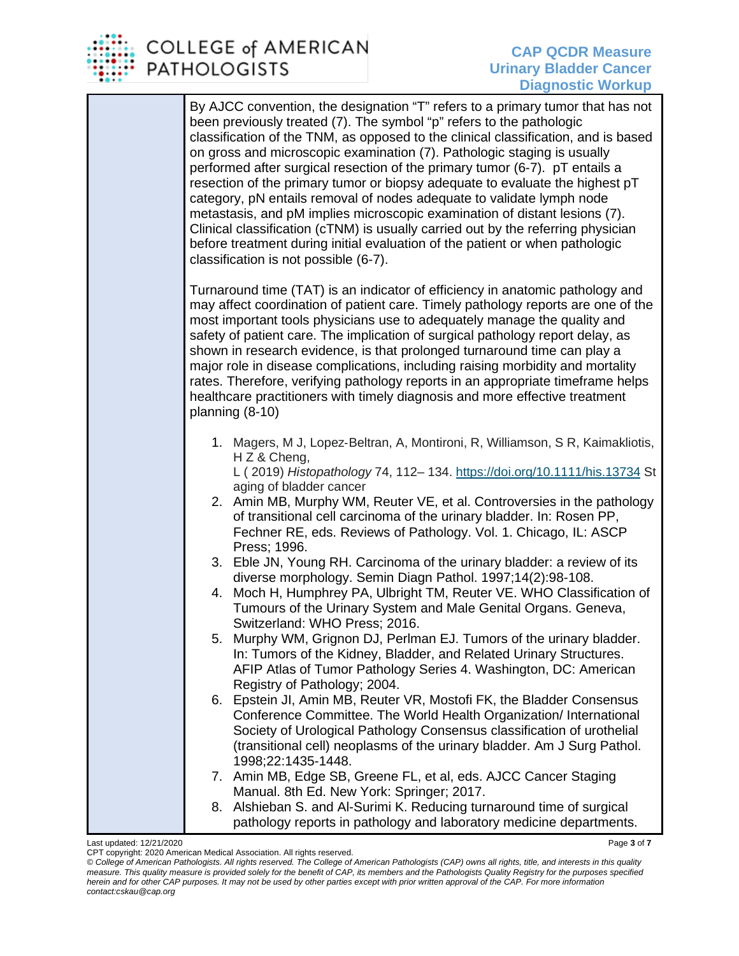

| By AJCC convention, the designation "T" refers to a primary tumor that has not<br>been previously treated (7). The symbol "p" refers to the pathologic<br>classification of the TNM, as opposed to the clinical classification, and is based<br>on gross and microscopic examination (7). Pathologic staging is usually<br>performed after surgical resection of the primary tumor (6-7). pT entails a<br>resection of the primary tumor or biopsy adequate to evaluate the highest pT<br>category, pN entails removal of nodes adequate to validate lymph node<br>metastasis, and pM implies microscopic examination of distant lesions (7).<br>Clinical classification (cTNM) is usually carried out by the referring physician<br>before treatment during initial evaluation of the patient or when pathologic<br>classification is not possible (6-7).                                                                                                                                                                                                                                                                                                                                                                                                                                                                                                                                                                                                                                                                             |
|----------------------------------------------------------------------------------------------------------------------------------------------------------------------------------------------------------------------------------------------------------------------------------------------------------------------------------------------------------------------------------------------------------------------------------------------------------------------------------------------------------------------------------------------------------------------------------------------------------------------------------------------------------------------------------------------------------------------------------------------------------------------------------------------------------------------------------------------------------------------------------------------------------------------------------------------------------------------------------------------------------------------------------------------------------------------------------------------------------------------------------------------------------------------------------------------------------------------------------------------------------------------------------------------------------------------------------------------------------------------------------------------------------------------------------------------------------------------------------------------------------------------------------------|
| Turnaround time (TAT) is an indicator of efficiency in anatomic pathology and<br>may affect coordination of patient care. Timely pathology reports are one of the<br>most important tools physicians use to adequately manage the quality and<br>safety of patient care. The implication of surgical pathology report delay, as<br>shown in research evidence, is that prolonged turnaround time can play a<br>major role in disease complications, including raising morbidity and mortality<br>rates. Therefore, verifying pathology reports in an appropriate timeframe helps<br>healthcare practitioners with timely diagnosis and more effective treatment<br>planning (8-10)                                                                                                                                                                                                                                                                                                                                                                                                                                                                                                                                                                                                                                                                                                                                                                                                                                                     |
| 1. Magers, M J, Lopez-Beltran, A, Montironi, R, Williamson, S R, Kaimakliotis,<br>H Z & Cheng,<br>L (2019) Histopathology 74, 112-134. https://doi.org/10.1111/his.13734 St<br>aging of bladder cancer<br>2. Amin MB, Murphy WM, Reuter VE, et al. Controversies in the pathology<br>of transitional cell carcinoma of the urinary bladder. In: Rosen PP,<br>Fechner RE, eds. Reviews of Pathology. Vol. 1. Chicago, IL: ASCP<br>Press; 1996.<br>3. Eble JN, Young RH. Carcinoma of the urinary bladder: a review of its<br>diverse morphology. Semin Diagn Pathol. 1997;14(2):98-108.<br>4. Moch H, Humphrey PA, Ulbright TM, Reuter VE. WHO Classification of<br>Tumours of the Urinary System and Male Genital Organs. Geneva,<br>Switzerland: WHO Press; 2016.<br>5. Murphy WM, Grignon DJ, Perlman EJ. Tumors of the urinary bladder.<br>In: Tumors of the Kidney, Bladder, and Related Urinary Structures.<br>AFIP Atlas of Tumor Pathology Series 4. Washington, DC: American<br>Registry of Pathology; 2004.<br>6. Epstein JI, Amin MB, Reuter VR, Mostofi FK, the Bladder Consensus<br>Conference Committee. The World Health Organization/ International<br>Society of Urological Pathology Consensus classification of urothelial<br>(transitional cell) neoplasms of the urinary bladder. Am J Surg Pathol.<br>1998;22:1435-1448.<br>7. Amin MB, Edge SB, Greene FL, et al, eds. AJCC Cancer Staging<br>Manual. 8th Ed. New York: Springer; 2017.<br>8. Alshieban S. and Al-Surimi K. Reducing turnaround time of surgical |
| pathology reports in pathology and laboratory medicine departments.                                                                                                                                                                                                                                                                                                                                                                                                                                                                                                                                                                                                                                                                                                                                                                                                                                                                                                                                                                                                                                                                                                                                                                                                                                                                                                                                                                                                                                                                    |

Last updated: 12/21/2020 Page **3** of **7** CPT copyright: 2020 American Medical Association. All rights reserved.

*<sup>©</sup> College of American Pathologists. All rights reserved. The College of American Pathologists (CAP) owns all rights, title, and interests in this quality measure. This quality measure is provided solely for the benefit of CAP, its members and the Pathologists Quality Registry for the purposes specified herein and for other CAP purposes. It may not be used by other parties except with prior written approval of the CAP. For more information contact:cskau@cap.org*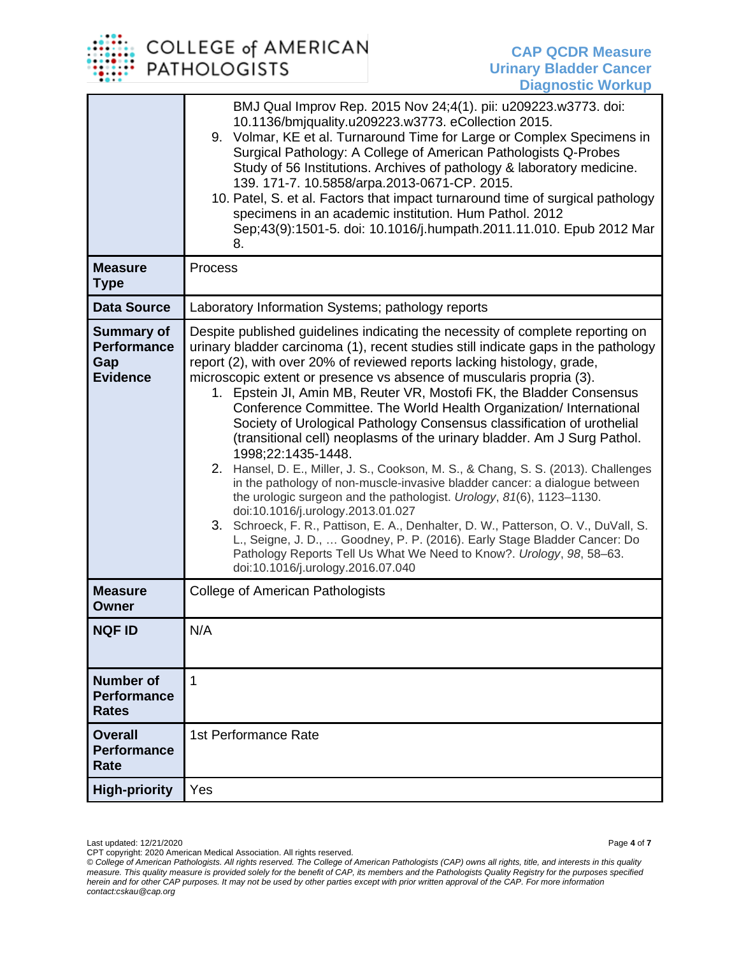## **COLLEGE of AMERICAN PATHOLOGISTS**

|                                                                   | BMJ Qual Improv Rep. 2015 Nov 24;4(1). pii: u209223.w3773. doi:<br>10.1136/bmjquality.u209223.w3773. eCollection 2015.<br>9. Volmar, KE et al. Turnaround Time for Large or Complex Specimens in<br>Surgical Pathology: A College of American Pathologists Q-Probes<br>Study of 56 Institutions. Archives of pathology & laboratory medicine.<br>139. 171-7. 10.5858/arpa.2013-0671-CP. 2015.<br>10. Patel, S. et al. Factors that impact turnaround time of surgical pathology<br>specimens in an academic institution. Hum Pathol. 2012<br>Sep;43(9):1501-5. doi: 10.1016/j.humpath.2011.11.010. Epub 2012 Mar<br>8.                                                                                                                                                                                                                                                                                                                                                                                                                                                                                                                                                                                                |
|-------------------------------------------------------------------|-----------------------------------------------------------------------------------------------------------------------------------------------------------------------------------------------------------------------------------------------------------------------------------------------------------------------------------------------------------------------------------------------------------------------------------------------------------------------------------------------------------------------------------------------------------------------------------------------------------------------------------------------------------------------------------------------------------------------------------------------------------------------------------------------------------------------------------------------------------------------------------------------------------------------------------------------------------------------------------------------------------------------------------------------------------------------------------------------------------------------------------------------------------------------------------------------------------------------|
| <b>Measure</b><br><b>Type</b>                                     | Process                                                                                                                                                                                                                                                                                                                                                                                                                                                                                                                                                                                                                                                                                                                                                                                                                                                                                                                                                                                                                                                                                                                                                                                                               |
| <b>Data Source</b>                                                | Laboratory Information Systems; pathology reports                                                                                                                                                                                                                                                                                                                                                                                                                                                                                                                                                                                                                                                                                                                                                                                                                                                                                                                                                                                                                                                                                                                                                                     |
| <b>Summary of</b><br><b>Performance</b><br>Gap<br><b>Evidence</b> | Despite published guidelines indicating the necessity of complete reporting on<br>urinary bladder carcinoma (1), recent studies still indicate gaps in the pathology<br>report (2), with over 20% of reviewed reports lacking histology, grade,<br>microscopic extent or presence vs absence of muscularis propria (3).<br>1. Epstein JI, Amin MB, Reuter VR, Mostofi FK, the Bladder Consensus<br>Conference Committee. The World Health Organization/ International<br>Society of Urological Pathology Consensus classification of urothelial<br>(transitional cell) neoplasms of the urinary bladder. Am J Surg Pathol.<br>1998;22:1435-1448.<br>Hansel, D. E., Miller, J. S., Cookson, M. S., & Chang, S. S. (2013). Challenges<br>2.<br>in the pathology of non-muscle-invasive bladder cancer: a dialogue between<br>the urologic surgeon and the pathologist. Urology, 81(6), 1123-1130.<br>doi:10.1016/j.urology.2013.01.027<br>3. Schroeck, F. R., Pattison, E. A., Denhalter, D. W., Patterson, O. V., DuVall, S.<br>L., Seigne, J. D.,  Goodney, P. P. (2016). Early Stage Bladder Cancer: Do<br>Pathology Reports Tell Us What We Need to Know?. Urology, 98, 58-63.<br>doi:10.1016/j.urology.2016.07.040 |
| <b>Measure</b><br><b>Owner</b>                                    | <b>College of American Pathologists</b>                                                                                                                                                                                                                                                                                                                                                                                                                                                                                                                                                                                                                                                                                                                                                                                                                                                                                                                                                                                                                                                                                                                                                                               |
| <b>NQF ID</b>                                                     | N/A                                                                                                                                                                                                                                                                                                                                                                                                                                                                                                                                                                                                                                                                                                                                                                                                                                                                                                                                                                                                                                                                                                                                                                                                                   |
| <b>Number of</b><br><b>Performance</b><br><b>Rates</b>            | 1                                                                                                                                                                                                                                                                                                                                                                                                                                                                                                                                                                                                                                                                                                                                                                                                                                                                                                                                                                                                                                                                                                                                                                                                                     |
| <b>Overall</b><br><b>Performance</b><br><b>Rate</b>               | 1st Performance Rate                                                                                                                                                                                                                                                                                                                                                                                                                                                                                                                                                                                                                                                                                                                                                                                                                                                                                                                                                                                                                                                                                                                                                                                                  |
| <b>High-priority</b>                                              | Yes                                                                                                                                                                                                                                                                                                                                                                                                                                                                                                                                                                                                                                                                                                                                                                                                                                                                                                                                                                                                                                                                                                                                                                                                                   |

Last updated: 12/21/2020 Page **4** of **7** CPT copyright: 2020 American Medical Association. All rights reserved.

*<sup>©</sup> College of American Pathologists. All rights reserved. The College of American Pathologists (CAP) owns all rights, title, and interests in this quality measure. This quality measure is provided solely for the benefit of CAP, its members and the Pathologists Quality Registry for the purposes specified herein and for other CAP purposes. It may not be used by other parties except with prior written approval of the CAP. For more information contact:cskau@cap.org*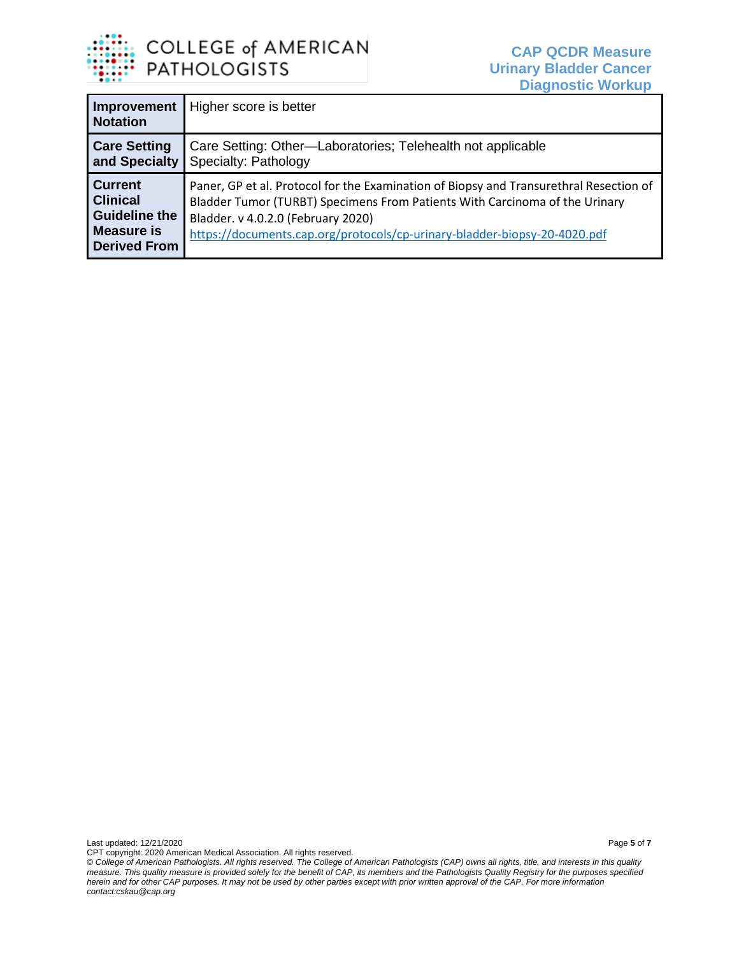

| Improvement<br><b>Notation</b>                                                                   | Higher score is better                                                                                                                                                                                                                                                                   |
|--------------------------------------------------------------------------------------------------|------------------------------------------------------------------------------------------------------------------------------------------------------------------------------------------------------------------------------------------------------------------------------------------|
| <b>Care Setting</b><br>and Specialty                                                             | Care Setting: Other-Laboratories; Telehealth not applicable<br>Specialty: Pathology                                                                                                                                                                                                      |
| l Current<br><b>Clinical</b><br><b>Guideline the</b><br><b>Measure is</b><br><b>Derived From</b> | Paner, GP et al. Protocol for the Examination of Biopsy and Transurethral Resection of<br>Bladder Tumor (TURBT) Specimens From Patients With Carcinoma of the Urinary<br>Bladder. v 4.0.2.0 (February 2020)<br>https://documents.cap.org/protocols/cp-urinary-bladder-biopsy-20-4020.pdf |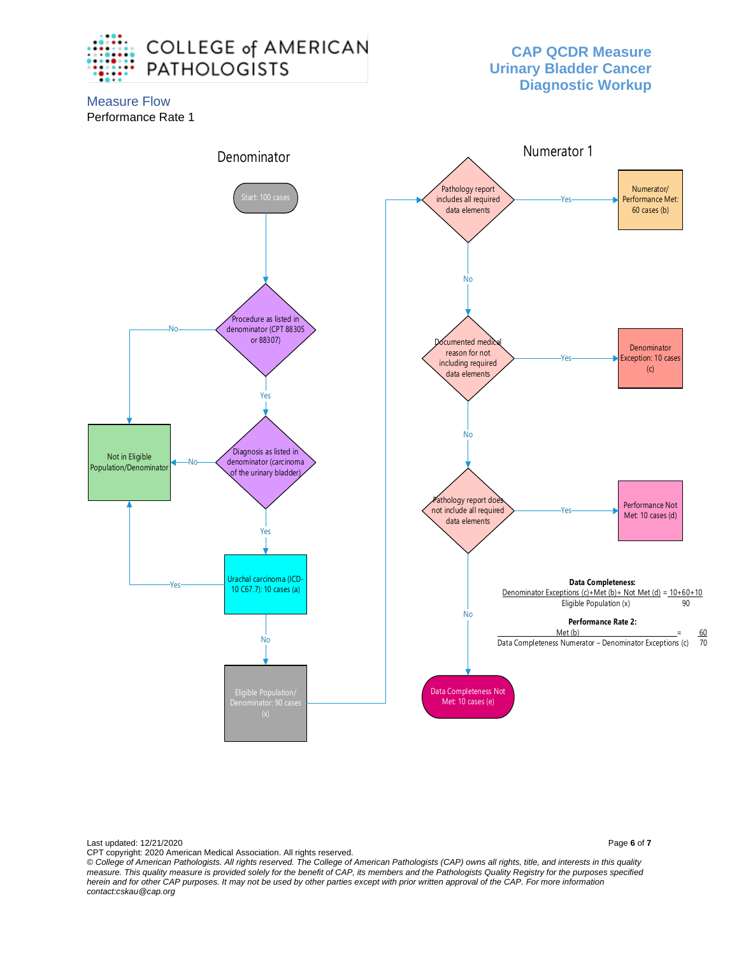

## **CAP QCDR Measure Urinary Bladder Cancer Diagnostic Workup**

Measure Flow Performance Rate 1



Last updated: 12/21/2020 Page **6** of **7**

CPT copyright: 2020 American Medical Association. All rights reserved. *© College of American Pathologists. All rights reserved. The College of American Pathologists (CAP) owns all rights, title, and interests in this quality measure. This quality measure is provided solely for the benefit of CAP, its members and the Pathologists Quality Registry for the purposes specified herein and for other CAP purposes. It may not be used by other parties except with prior written approval of the CAP. For more information contact:cskau@cap.org*